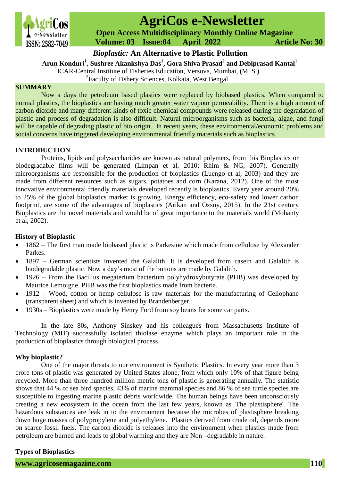

# **AgriCos e-Newsletter**

 **Open Access Multidisciplinary Monthly Online Magazine**

 **ISSN: 2582-7049 Volume: 03 Issue:04 April 2022 Article No: 30** 

*Bioplastic:* **An Alternative to Plastic Pollution**

**Arun Konduri<sup>1</sup> , Sushree Akankshya Das<sup>1</sup> , Gora Shiva Prasad<sup>2</sup> and Debiprasad Kantal<sup>1</sup>**

**1 Kondult , Susified Analisalya Das**, Gora Silva I rasad and Debipt <sup>1</sup><br><sup>1</sup> ICAR-Central Institute of Fisheries Education, Versova, Mumbai, (M. S.)

<sup>2</sup> Faculty of Fishery Sciences, Kolkata, West Bengal

## **SUMMARY**

Now a days the petroleum based plastics were replaced by biobased plastics. When compared to normal plastics, the bioplastics are having much greater water vapour permeability. There is a high amount of carbon dioxide and many different kinds of toxic chemical compounds were released during the degradation of plastic and process of degradation is also difficult. Natural microorganisms such as bacteria, algae, and fungi will be capable of degrading plastic of bio origin. In recent years, these environmental/economic problems and social concerns have triggered developing environmental friendly materials such as bioplastics.

# **INTRODUCTION**

Proteins, lipids and polysaccharides are known as natural polymers, from this Bioplastics or biodegradable films will be generated (Limpan et al, 2010; Rhim & NG, 2007). Generally microorganisms are responsible for the production of bioplastics (Luengo et al, 2003) and they are made from different resources such as sugars, potatoes and corn (Karana, 2012). One of the most innovative environmental friendly materials developed recently is bioplastics. Every year around 20% to 25% of the global bioplastics market is growing. Energy efficiency, eco-safety and lower carbon footprint, are some of the advantages of bioplastics (Arikan and Ozsoy, 2015). In the 21st century Bioplastics are the novel materials and would be of great importance to the materials world (Mohanty et al, 2002).

## **History of Bioplastic**

- 1862 The first man made biobased plastic is Parkesine which made from cellulose by Alexander Parkes.
- 1897 German scientists invented the Galalith. It is developed from casein and Galalith is biodegradable plastic. Now a day's most of the buttons are made by Galalith.
- 1926 From the Bacillus megaterium bacterium polyhydroxybutyrate (PHB) was developed by Maurice Lemoigne. PHB was the first bioplastics made from bacteria.
- 1912 Wood, cotton or hemp cellulose is raw materials for the manufacturing of Cellophane (transparent sheet) and which is invented by Brandenberger.
- 1930s Bioplastics were made by Henry Ford from soy beans for some car parts.

In the late 80s, Anthony Sinskey and his colleagues from Massachusetts Institute of Technology (MIT) successfully isolated thiolase enzyme which plays an important role in the production of bioplastics through biological process.

# **Why bioplastic?**

One of the major threats to our environment is Synthetic Plastics. In every year more than 3 crore tons of plastic was generated by United States alone, from which only 10% of that figure being recycled. More than three hundred million metric tons of plastic is generating annually. The statistic shows that 44 % of sea bird species, 43% of marine mammal species and 86 % of sea turtle species are susceptible to ingesting marine plastic debris worldwide. The human beings have been unconsciously creating a new ecosystem in the ocean from the last few years, known as 'The plastisphere'. The hazardous substances are leak in to the environment because the microbes of plastisphere breaking down huge masses of polypropylene and polyethylene. Plastics derived from crude oil, depends more on scarce fossil fuels. The carbon dioxide is releases into the environment when plastics made from petroleum are burned and leads to global warming and they are Non –degradable in nature.

# **Types of Bioplastics**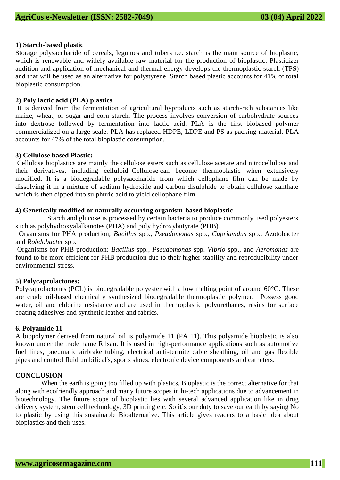## **1) Starch-based plastic**

Storage polysaccharide of cereals, legumes and tubers i.e. starch is the main source of bioplastic, which is renewable and widely available raw material for the production of bioplastic. Plasticizer addition and application of mechanical and thermal energy develops the thermoplastic starch (TPS) and that will be used as an alternative for polystyrene. Starch based plastic accounts for 41% of total bioplastic consumption.

## **2) Poly lactic acid (PLA) plastics**

It is derived from the fermentation of agricultural byproducts such as starch-rich substances like maize, wheat, or sugar and corn starch. The process involves conversion of carbohydrate sources into dextrose followed by fermentation into lactic acid. PLA is the first biobased polymer commercialized on a large scale. PLA has replaced HDPE, LDPE and PS as packing material. PLA accounts for 47% of the total bioplastic consumption.

## **3) Cellulose based Plastic:**

Cellulose bioplastics are mainly the cellulose esters such as cellulose acetate and nitrocellulose and their derivatives, including celluloid. Cellulose can become thermoplastic when extensively modified. It is a biodegradable polysaccharide from which cellophane film can be made by dissolving it in a mixture of sodium hydroxide and carbon disulphide to obtain cellulose xanthate which is then dipped into sulphuric acid to yield cellophane film.

# **4) Genetically modified or naturally occurring organism-based bioplastic**

 Starch and glucose is processed by certain bacteria to produce commonly used polyesters such as polyhydroxyalalkanotes (PHA) and poly hydroxybutyrate (PHB).

 Organisms for PHA production; *Bacillus* spp., *Pseudomonas* spp., *Cupriavidus* spp., Azotobacter and *Robdobacter* spp.

Organisms for PHB production; *Bacillus* spp*., Pseudomonas* spp. *Vibrio* spp., and *Aeromonas* are found to be more efficient for PHB production due to their higher stability and reproducibility under environmental stress.

# **5) Polycaprolactones:**

Polycaprolactones (PCL) is biodegradable polyester with a low melting point of around 60°C. These are crude oil-based chemically synthesized biodegradable thermoplastic polymer. Possess good water, oil and chlorine resistance and are used in thermoplastic polyurethanes, resins for surface coating adhesives and synthetic leather and fabrics.

#### **6. Polyamide 11**

A biopolymer derived from natural oil is polyamide 11 (PA 11). This polyamide bioplastic is also known under the trade name Rilsan. It is used in high-performance applications such as automotive fuel lines, pneumatic airbrake tubing, electrical anti-termite cable sheathing, oil and gas flexible pipes and control fluid umbilical's, sports shoes, electronic device components and catheters.

# **CONCLUSION**

When the earth is going too filled up with plastics, Bioplastic is the correct alternative for that along with ecofriendly approach and many future scopes in hi-tech applications due to advancement in biotechnology. The future scope of bioplastic lies with several advanced application like in drug delivery system, stem cell technology, 3D printing etc. So it's our duty to save our earth by saying No to plastic by using this sustainable Bioalternative. This article gives readers to a basic idea about bioplastics and their uses.